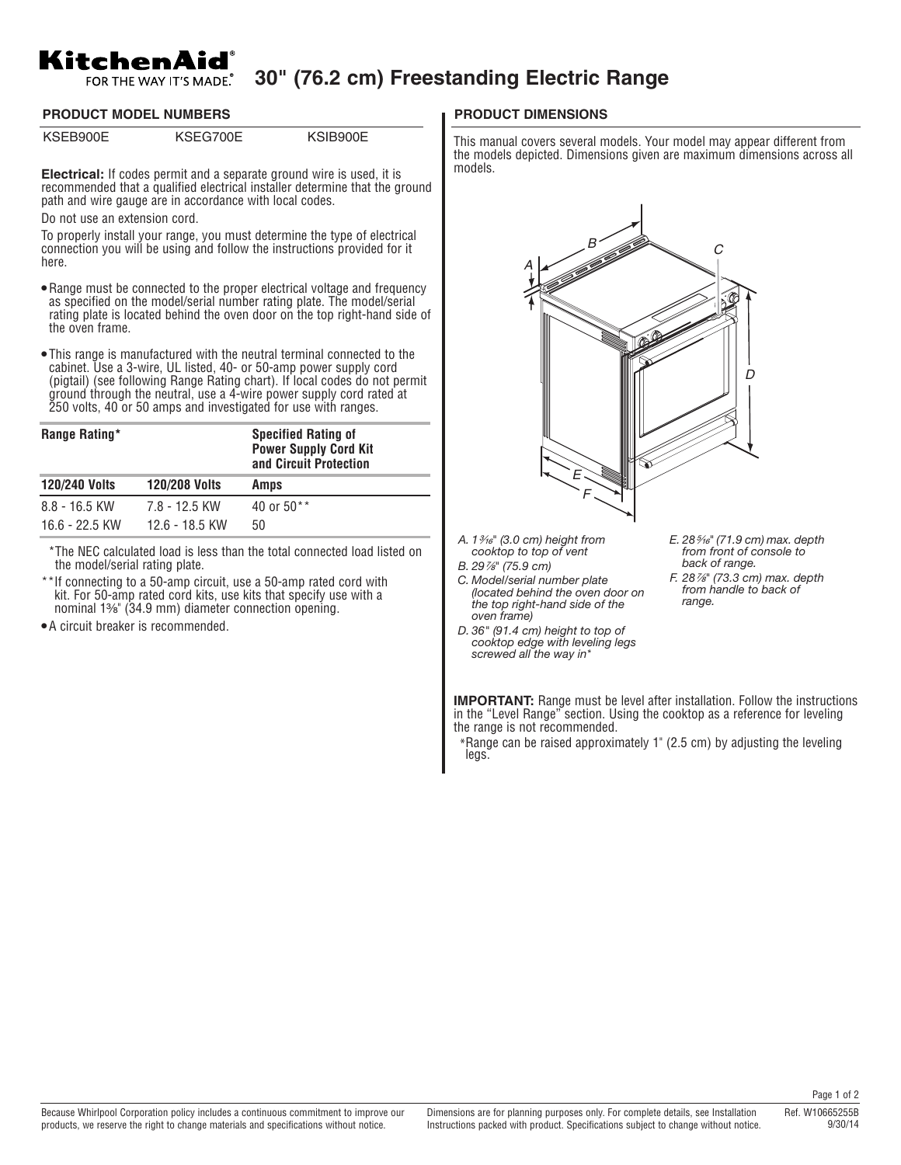## KitchenAid

## **30" (76.2 cm) Freestanding Electric Range**

**PRODUCT MODEL NUMBERS PRODUCT DIMENSIONS**

KSEB900E KSEG700E KSIB900E

**Electrical:** If codes permit and a separate ground wire is used, it is recommended that a qualified electrical installer determine that the ground path and wire gauge are in accordance with local codes.

Do not use an extension cord.

To properly install your range, you must determine the type of electrical connection you will be using and follow the instructions provided for it here.

- Range must be connected to the proper electrical voltage and frequency as specified on the model/serial number rating plate. The model/serial rating plate is located behind the oven door on the top right-hand side of the oven frame.
- This range is manufactured with the neutral terminal connected to the cabinet. Use a 3-wire, UL listed, 40- or 50-amp power supply cord (pigtail) (see following Range Rating chart). If local codes do not permit ground through the neutral, use a 4-wire power supply cord rated at 250 volts, 40 or 50 amps and investigated for use with ranges.

| Range Rating*        |                      | <b>Specified Rating of</b><br><b>Power Supply Cord Kit</b><br>and Circuit Protection |
|----------------------|----------------------|--------------------------------------------------------------------------------------|
| <b>120/240 Volts</b> | <b>120/208 Volts</b> | Amps                                                                                 |
| $8.8 - 16.5$ KW      | 7.8 - 12.5 KW        | 40 or 50**                                                                           |
| 16.6 - 22.5 KW       | 12.6 - 18.5 KW       | 50                                                                                   |

\*The NEC calculated load is less than the total connected load listed on the model/serial rating plate.

- \*\*If connecting to a 50-amp circuit, use a 50-amp rated cord with kit. For 50-amp rated cord kits, use kits that specify use with a nominal 1³⁄₈" (34.9 mm) diameter connection opening.
- A circuit breaker is recommended.

This manual covers several models. Your model may appear different from the models depicted. Dimensions given are maximum dimensions across all models.



the range is not recommended.

\*\*Range can be raised approximately 1" (2.5 cm) by adjusting the leveling legs.